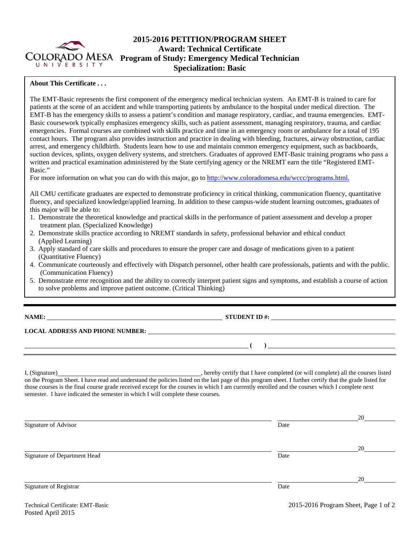

# **2015-2016 PETITION/PROGRAM SHEET Award: Technical Certificate Program of Study: Emergency Medical Technician Specialization: Basic**

### **About This Certificate . . .**

The EMT-Basic represents the first component of the emergency medical technician system. An EMT-B is trained to care for patients at the scene of an accident and while transporting patients by ambulance to the hospital under medical direction. The EMT-B has the emergency skills to assess a patient's condition and manage respiratory, cardiac, and trauma emergencies. EMT-Basic coursework typically emphasizes emergency skills, such as patient assessment, managing respiratory, trauma, and cardiac emergencies. Formal courses are combined with skills practice and time in an emergency room or ambulance for a total of 195 contact hours. The program also provides instruction and practice in dealing with bleeding, fractures, airway obstruction, cardiac arrest, and emergency childbirth. Students learn how to use and maintain common emergency equipment, such as backboards, suction devices, splints, oxygen delivery systems, and stretchers. Graduates of approved EMT-Basic training programs who pass a written and practical examination administered by the State certifying agency or the NREMT earn the title "Registered EMT-Basic."

For more information on what you can do with this major, go to http://www.coloradomesa.edu/wccc/programs.html.

All CMU certificate graduates are expected to demonstrate proficiency in critical thinking, communication fluency, quantitative fluency, and specialized knowledge/applied learning. In addition to these campus-wide student learning outcomes, graduates of this major will be able to:

- 1. Demonstrate the theoretical knowledge and practical skills in the performance of patient assessment and develop a proper treatment plan. (Specialized Knowledge)
- 2. Demonstrate skills practice according to NREMT standards in safety, professional behavior and ethical conduct (Applied Learning)
- 3. Apply standard of care skills and procedures to ensure the proper care and dosage of medications given to a patient (Quantitative Fluency)
- 4. Communicate courteously and effectively with Dispatch personnel, other health care professionals, patients and with the public. (Communication Fluency)
- 5. Demonstrate error recognition and the ability to correctly interpret patient signs and symptoms, and establish a course of action to solve problems and improve patient outcome. (Critical Thinking)

**NAME: STUDENT ID #:** 

 **( )** 

**LOCAL ADDRESS AND PHONE NUMBER:**

I, (Signature) **Manual Completed** (or will complete) all the courses listed on the Program Sheet. I have read and understand the policies listed on the last page of this program sheet. I further certify that the grade listed for those courses is the final course grade received except for the courses in which I am currently enrolled and the courses which I complete next semester. I have indicated the semester in which I will complete these courses.

|                              |                                                                                                                 | 20 |
|------------------------------|-----------------------------------------------------------------------------------------------------------------|----|
| Signature of Advisor         | Date                                                                                                            |    |
|                              |                                                                                                                 | 20 |
| Signature of Department Head | Date                                                                                                            |    |
|                              |                                                                                                                 | 20 |
| Signature of Registrar       | Date                                                                                                            |    |
|                              | the contract of the contract of the contract of the contract of the contract of the contract of the contract of |    |

Posted April 2015

Technical Certificate: EMT-Basic 2015-2016 Program Sheet, Page 1 of 2